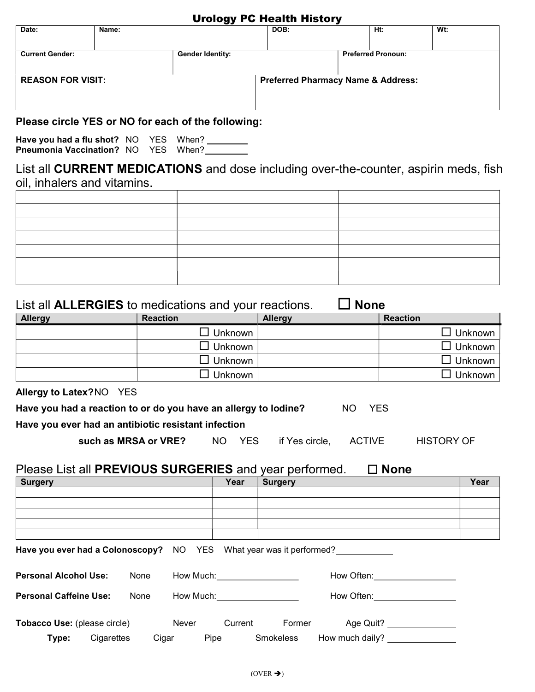#### Urology PC Health History

| Date:                    | Name: |                                                    | DOB:                                          |  | Ht:                       | Wt: |  |
|--------------------------|-------|----------------------------------------------------|-----------------------------------------------|--|---------------------------|-----|--|
|                          |       |                                                    |                                               |  |                           |     |  |
| <b>Current Gender:</b>   |       | <b>Gender Identity:</b>                            |                                               |  | <b>Preferred Pronoun:</b> |     |  |
|                          |       |                                                    |                                               |  |                           |     |  |
| <b>REASON FOR VISIT:</b> |       |                                                    | <b>Preferred Pharmacy Name &amp; Address:</b> |  |                           |     |  |
|                          |       |                                                    |                                               |  |                           |     |  |
|                          |       |                                                    |                                               |  |                           |     |  |
|                          |       | Please circle YES or NO for each of the following: |                                               |  |                           |     |  |
|                          |       |                                                    |                                               |  |                           |     |  |

Have you had a flu shot? NO YES When? **Pneumonia Vaccination?** NO YES When?

List all CURRENT MEDICATIONS and dose including over-the-counter, aspirin meds, fish oil, inhalers and vitamins.

| List all <b>ALLERGIES</b> to medications and your reactions. | <b>None</b>     |                |                   |
|--------------------------------------------------------------|-----------------|----------------|-------------------|
| Allergy                                                      | <b>Reaction</b> | <b>Allergy</b> | <b>Reaction</b>   |
|                                                              | $\Box$ Unknown  |                | $\Box$ Unknown    |
|                                                              | ∃ Unknown       |                | $\Box$ Unknown    |
|                                                              | Unknown         |                | $\square$ Unknown |
|                                                              | Unknown         |                | $\Box$ Unknown    |

Allergy to Latex? NO YES

| Have you had a reaction to or do you have an allergy to lodine? | NO YES |  |
|-----------------------------------------------------------------|--------|--|
| Have you ever had an antibiotic resistant infection             |        |  |

| such as MRSA or VRE? |  | NO YES if Yes circle, ACTIVE | <b>HISTORY OF</b> |
|----------------------|--|------------------------------|-------------------|

## Please List all PREVIOUS SURGERIES and year performed.  $\Box$  None

| <b>Surgery</b>                      |            |       | Year                            | <b>Surgery</b>   |                                                                            |                               | Year |
|-------------------------------------|------------|-------|---------------------------------|------------------|----------------------------------------------------------------------------|-------------------------------|------|
|                                     |            |       |                                 |                  |                                                                            |                               |      |
|                                     |            |       |                                 |                  |                                                                            |                               |      |
|                                     |            |       |                                 |                  |                                                                            |                               |      |
|                                     |            |       |                                 |                  |                                                                            |                               |      |
|                                     |            |       |                                 |                  | <b>Have you ever had a Colonoscopy?</b> NO YES What year was it performed? |                               |      |
| <b>Personal Alcohol Use:</b>        | None       |       | How Much: <u>______________</u> |                  |                                                                            | How Often: <b>Example 20</b>  |      |
| <b>Personal Caffeine Use:</b>       | None       |       | How Much:___________________    |                  |                                                                            | How Often: __________________ |      |
| <b>Tobacco Use:</b> (please circle) |            | Never | Current                         | Former           |                                                                            | Age Quit? _______________     |      |
| Type:                               | Cigarettes | Cigar | Pipe                            | <b>Smokeless</b> | How much daily? ______________                                             |                               |      |